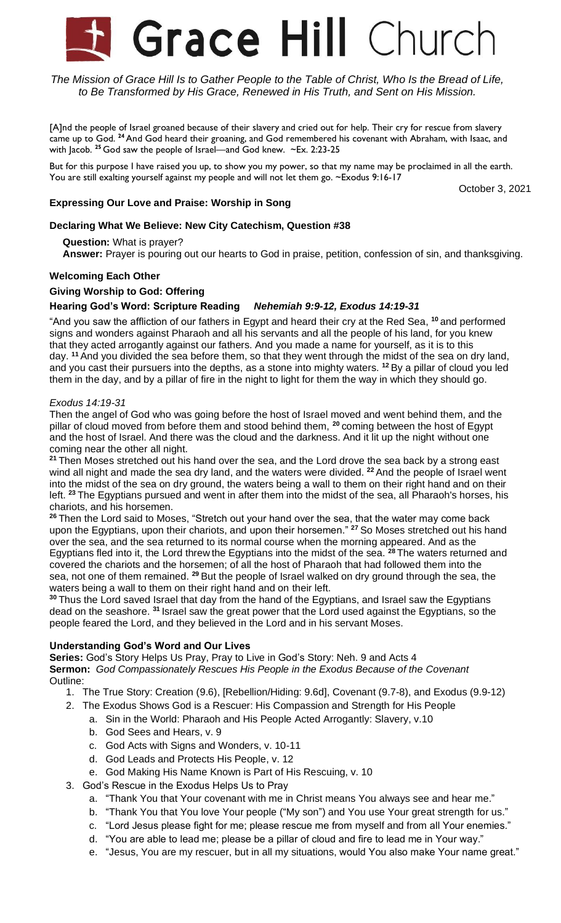# **Grace Hill Church**

The Mission of Grace Hill Is to Gather People to the Table of Christ, Who Is the Bread of Life, *to Be Transformed by His Grace, Renewed in His Truth, and Sent on His Mission.*

[A]nd the people of Israel groaned because of their slavery and cried out for help. Their cry for rescue from slavery came up to God. **<sup>24</sup>**And God heard their groaning, and God remembered his covenant with Abraham, with Isaac, and with Jacob. **<sup>25</sup>** God saw the people of Israel—and God knew. ~Ex. 2:23-25

But for this purpose I have raised you up, to show you my power, so that my name may be proclaimed in all the earth. You are still exalting yourself against my people and will not let them go. ~Exodus 9:16-17

October 3, 2021

# **Expressing Our Love and Praise: Worship in Song**

### **Declaring What We Believe: New City Catechism, Question #38**

**Question:** What is prayer?

**Answer:** Prayer is pouring out our hearts to God in praise, petition, confession of sin, and thanksgiving.

### **Welcoming Each Other**

### **Giving Worship to God: Offering**

# **Hearing God's Word: Scripture Reading** *Nehemiah 9:9-12, Exodus 14:19-31*

"And you saw the affliction of our fathers in Egypt and heard their cry at the Red Sea, **<sup>10</sup>** and performed signs and wonders against Pharaoh and all his servants and all the people of his land, for you knew that they acted arrogantly against our fathers. And you made a name for yourself, as it is to this day. **<sup>11</sup>** And you divided the sea before them, so that they went through the midst of the sea on dry land, and you cast their pursuers into the depths, as a stone into mighty waters. **<sup>12</sup>** By a pillar of cloud you led them in the day, and by a pillar of fire in the night to light for them the way in which they should go.

#### *Exodus 14:19-31*

Then the angel of God who was going before the host of Israel moved and went behind them, and the pillar of cloud moved from before them and stood behind them, **<sup>20</sup>** coming between the host of Egypt and the host of Israel. And there was the cloud and the darkness. And it lit up the night without one coming near the other all night.

**<sup>21</sup>** Then Moses stretched out his hand over the sea, and the Lord drove the sea back by a strong east wind all night and made the sea dry land, and the waters were divided. **<sup>22</sup>** And the people of Israel went into the midst of the sea on dry ground, the waters being a wall to them on their right hand and on their left. **<sup>23</sup>** The Egyptians pursued and went in after them into the midst of the sea, all Pharaoh's horses, his chariots, and his horsemen.

**<sup>26</sup>** Then the Lord said to Moses, "Stretch out your hand over the sea, that the water may come back upon the Egyptians, upon their chariots, and upon their horsemen." **<sup>27</sup>** So Moses stretched out his hand over the sea, and the sea returned to its normal course when the morning appeared. And as the Egyptians fled into it, the Lord threw the Egyptians into the midst of the sea. **<sup>28</sup>** The waters returned and covered the chariots and the horsemen; of all the host of Pharaoh that had followed them into the sea, not one of them remained. **<sup>29</sup>** But the people of Israel walked on dry ground through the sea, the waters being a wall to them on their right hand and on their left.

**<sup>30</sup>** Thus the Lord saved Israel that day from the hand of the Egyptians, and Israel saw the Egyptians dead on the seashore. **<sup>31</sup>** Israel saw the great power that the Lord used against the Egyptians, so the people feared the Lord, and they believed in the Lord and in his servant Moses.

### **Understanding God's Word and Our Lives**

**Series:** God's Story Helps Us Pray, Pray to Live in God's Story: Neh. 9 and Acts 4 **Sermon:** *God Compassionately Rescues His People in the Exodus Because of the Covenant* Outline:

- 1. The True Story: Creation (9.6), [Rebellion/Hiding: 9.6d], Covenant (9.7-8), and Exodus (9.9-12)
- 2. The Exodus Shows God is a Rescuer: His Compassion and Strength for His People
	- a. Sin in the World: Pharaoh and His People Acted Arrogantly: Slavery, v.10
	- b. God Sees and Hears, v. 9
	- c. God Acts with Signs and Wonders, v. 10-11
	- d. God Leads and Protects His People, v. 12
	- e. God Making His Name Known is Part of His Rescuing, v. 10
- 3. God's Rescue in the Exodus Helps Us to Pray
	- a. "Thank You that Your covenant with me in Christ means You always see and hear me."
	- b. "Thank You that You love Your people ("My son") and You use Your great strength for us."
	- c. "Lord Jesus please fight for me; please rescue me from myself and from all Your enemies."
	- d. "You are able to lead me; please be a pillar of cloud and fire to lead me in Your way."
	- e. "Jesus, You are my rescuer, but in all my situations, would You also make Your name great."